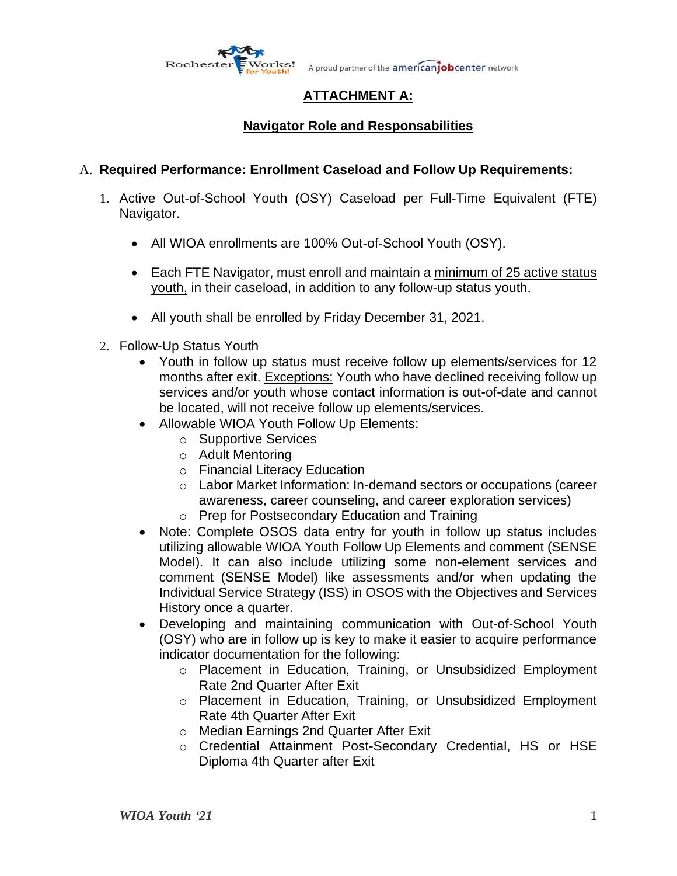

A proud partner of the americanjobcenter network

# **ATTACHMENT A:**

# **Navigator Role and Responsabilities**

### A. **Required Performance: Enrollment Caseload and Follow Up Requirements:**

- 1. Active Out-of-School Youth (OSY) Caseload per Full-Time Equivalent (FTE) Navigator.
	- All WIOA enrollments are 100% Out-of-School Youth (OSY).
	- Each FTE Navigator, must enroll and maintain a minimum of 25 active status youth, in their caseload, in addition to any follow-up status youth.
	- All youth shall be enrolled by Friday December 31, 2021.
- 2. Follow-Up Status Youth
	- Youth in follow up status must receive follow up elements/services for 12 months after exit. Exceptions: Youth who have declined receiving follow up services and/or youth whose contact information is out-of-date and cannot be located, will not receive follow up elements/services.
	- Allowable WIOA Youth Follow Up Elements:
		- o Supportive Services
		- o Adult Mentoring
		- o Financial Literacy Education
		- o Labor Market Information: In-demand sectors or occupations (career awareness, career counseling, and career exploration services)
		- o Prep for Postsecondary Education and Training
	- Note: Complete OSOS data entry for youth in follow up status includes utilizing allowable WIOA Youth Follow Up Elements and comment (SENSE Model). It can also include utilizing some non-element services and comment (SENSE Model) like assessments and/or when updating the Individual Service Strategy (ISS) in OSOS with the Objectives and Services History once a quarter.
	- Developing and maintaining communication with Out-of-School Youth (OSY) who are in follow up is key to make it easier to acquire performance indicator documentation for the following:
		- o Placement in Education, Training, or Unsubsidized Employment Rate 2nd Quarter After Exit
		- o Placement in Education, Training, or Unsubsidized Employment Rate 4th Quarter After Exit
		- o Median Earnings 2nd Quarter After Exit
		- o Credential Attainment Post-Secondary Credential, HS or HSE Diploma 4th Quarter after Exit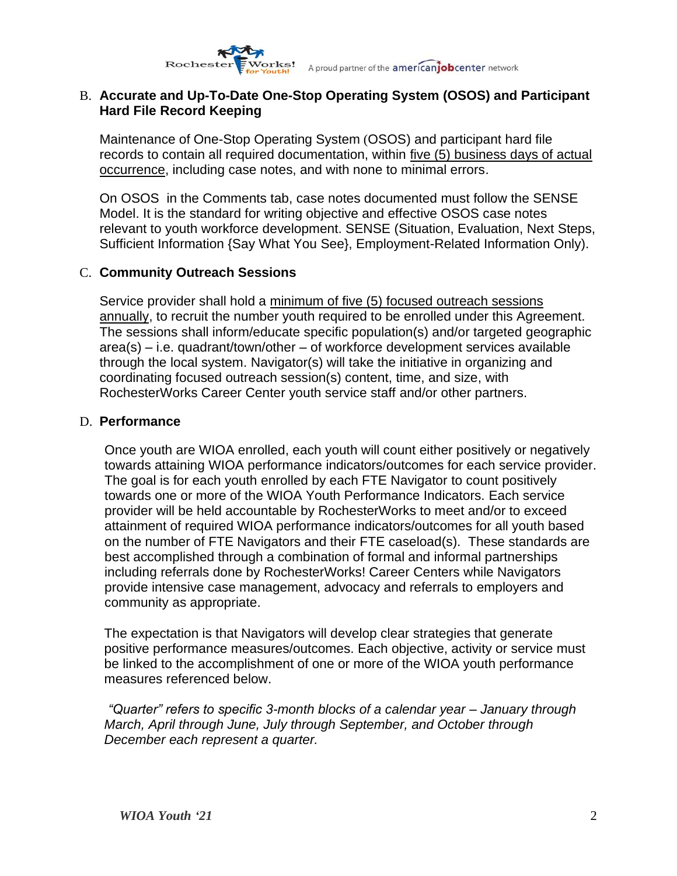

#### B. **Accurate and Up-To-Date One-Stop Operating System (OSOS) and Participant Hard File Record Keeping**

Maintenance of One-Stop Operating System (OSOS) and participant hard file records to contain all required documentation, within five (5) business days of actual occurrence, including case notes, and with none to minimal errors.

On OSOS in the Comments tab, case notes documented must follow the SENSE Model. It is the standard for writing objective and effective OSOS case notes relevant to youth workforce development. SENSE (Situation, Evaluation, Next Steps, Sufficient Information {Say What You See}, Employment-Related Information Only).

#### C. **Community Outreach Sessions**

Service provider shall hold a minimum of five (5) focused outreach sessions annually, to recruit the number youth required to be enrolled under this Agreement. The sessions shall inform/educate specific population(s) and/or targeted geographic area(s) – i.e. quadrant/town/other – of workforce development services available through the local system. Navigator(s) will take the initiative in organizing and coordinating focused outreach session(s) content, time, and size, with RochesterWorks Career Center youth service staff and/or other partners.

#### D. **Performance**

Once youth are WIOA enrolled, each youth will count either positively or negatively towards attaining WIOA performance indicators/outcomes for each service provider. The goal is for each youth enrolled by each FTE Navigator to count positively towards one or more of the WIOA Youth Performance Indicators. Each service provider will be held accountable by RochesterWorks to meet and/or to exceed attainment of required WIOA performance indicators/outcomes for all youth based on the number of FTE Navigators and their FTE caseload(s). These standards are best accomplished through a combination of formal and informal partnerships including referrals done by RochesterWorks! Career Centers while Navigators provide intensive case management, advocacy and referrals to employers and community as appropriate.

The expectation is that Navigators will develop clear strategies that generate positive performance measures/outcomes. Each objective, activity or service must be linked to the accomplishment of one or more of the WIOA youth performance measures referenced below.

*"Quarter" refers to specific 3-month blocks of a calendar year – January through March, April through June, July through September, and October through December each represent a quarter.*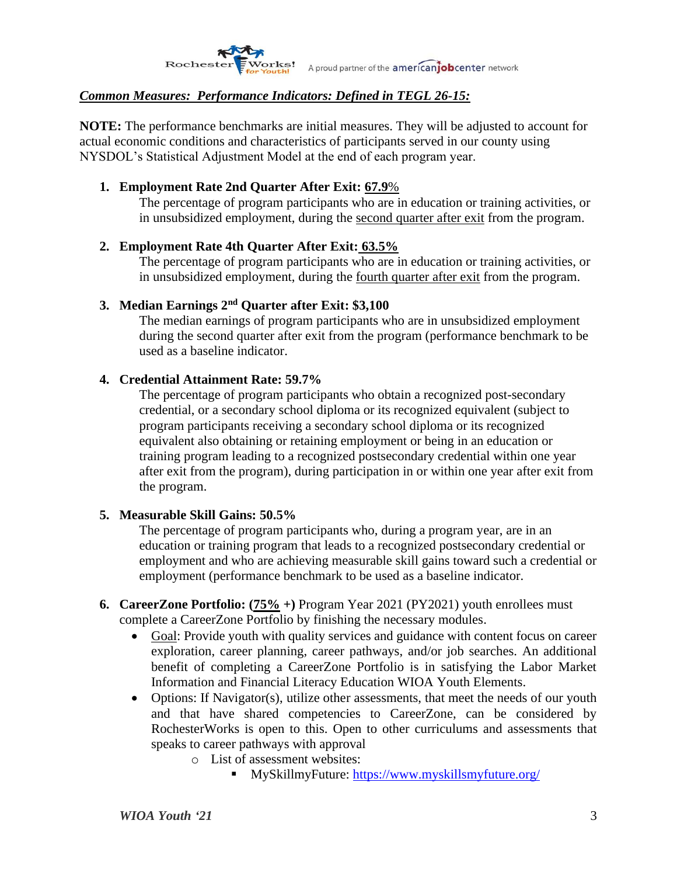

#### *Common Measures: Performance Indicators: Defined in TEGL 26-15:*

**NOTE:** The performance benchmarks are initial measures. They will be adjusted to account for actual economic conditions and characteristics of participants served in our county using NYSDOL's Statistical Adjustment Model at the end of each program year.

#### **1. Employment Rate 2nd Quarter After Exit: 67.9**%

The percentage of program participants who are in education or training activities, or in unsubsidized employment, during the second quarter after exit from the program.

#### **2. Employment Rate 4th Quarter After Exit: 63.5%**

The percentage of program participants who are in education or training activities, or in unsubsidized employment, during the <u>fourth quarter after exit</u> from the program.

#### **3. Median Earnings 2nd Quarter after Exit: \$3,100**

The median earnings of program participants who are in unsubsidized employment during the second quarter after exit from the program (performance benchmark to be used as a baseline indicator.

#### **4. Credential Attainment Rate: 59.7%**

The percentage of program participants who obtain a recognized post-secondary credential, or a secondary school diploma or its recognized equivalent (subject to program participants receiving a secondary school diploma or its recognized equivalent also obtaining or retaining employment or being in an education or training program leading to a recognized postsecondary credential within one year after exit from the program), during participation in or within one year after exit from the program.

#### **5. Measurable Skill Gains: 50.5%**

The percentage of program participants who, during a program year, are in an education or training program that leads to a recognized postsecondary credential or employment and who are achieving measurable skill gains toward such a credential or employment (performance benchmark to be used as a baseline indicator.

- **6. CareerZone Portfolio: (75% +)** Program Year 2021 (PY2021) youth enrollees must complete a CareerZone Portfolio by finishing the necessary modules.
	- Goal: Provide youth with quality services and guidance with content focus on career exploration, career planning, career pathways, and/or job searches. An additional benefit of completing a CareerZone Portfolio is in satisfying the Labor Market Information and Financial Literacy Education WIOA Youth Elements.
	- Options: If Navigator(s), utilize other assessments, that meet the needs of our youth and that have shared competencies to CareerZone, can be considered by RochesterWorks is open to this. Open to other curriculums and assessments that speaks to career pathways with approval
		- o List of assessment websites:
			- MySkillmyFuture:<https://www.myskillsmyfuture.org/>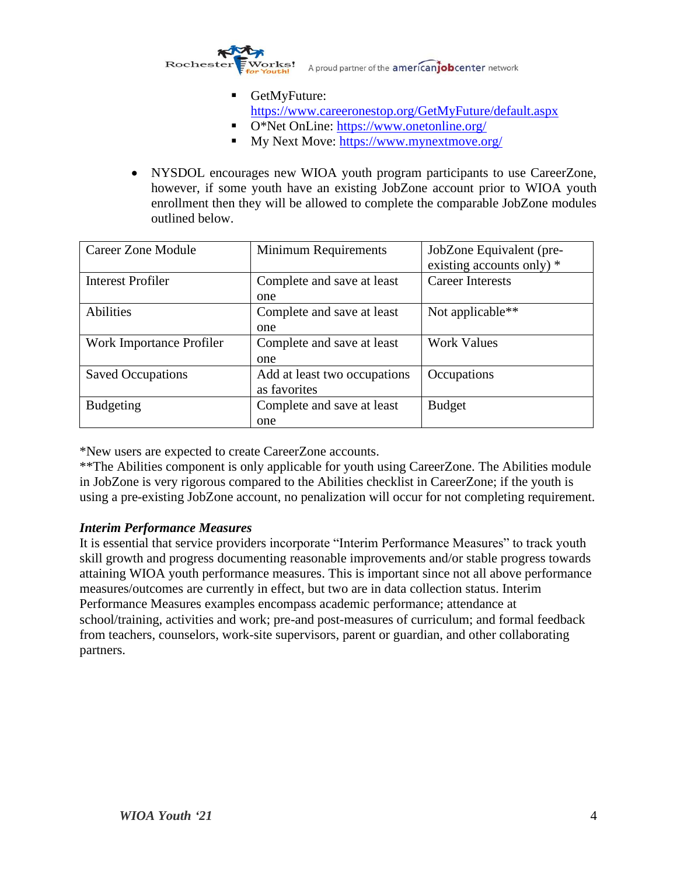

■ GetMyFuture:

<https://www.careeronestop.org/GetMyFuture/default.aspx>

- O<sup>\*</sup>Net OnLine:<https://www.onetonline.org/>
- My Next Move:<https://www.mynextmove.org/>
- NYSDOL encourages new WIOA youth program participants to use CareerZone, however, if some youth have an existing JobZone account prior to WIOA youth enrollment then they will be allowed to complete the comparable JobZone modules outlined below.

| Career Zone Module       | <b>Minimum Requirements</b>                  | JobZone Equivalent (pre-<br>existing accounts only) * |
|--------------------------|----------------------------------------------|-------------------------------------------------------|
| <b>Interest Profiler</b> | Complete and save at least                   | <b>Career Interests</b>                               |
|                          | one                                          |                                                       |
| Abilities                | Complete and save at least                   | Not applicable**                                      |
|                          | one                                          |                                                       |
| Work Importance Profiler | Complete and save at least                   | <b>Work Values</b>                                    |
|                          | one                                          |                                                       |
| <b>Saved Occupations</b> | Add at least two occupations<br>as favorites | Occupations                                           |
| <b>Budgeting</b>         | Complete and save at least                   | <b>Budget</b>                                         |
|                          | one                                          |                                                       |

\*New users are expected to create CareerZone accounts.

\*\*The Abilities component is only applicable for youth using CareerZone. The Abilities module in JobZone is very rigorous compared to the Abilities checklist in CareerZone; if the youth is using a pre-existing JobZone account, no penalization will occur for not completing requirement.

#### *Interim Performance Measures*

It is essential that service providers incorporate "Interim Performance Measures" to track youth skill growth and progress documenting reasonable improvements and/or stable progress towards attaining WIOA youth performance measures. This is important since not all above performance measures/outcomes are currently in effect, but two are in data collection status. Interim Performance Measures examples encompass academic performance; attendance at school/training, activities and work; pre-and post-measures of curriculum; and formal feedback from teachers, counselors, work-site supervisors, parent or guardian, and other collaborating partners.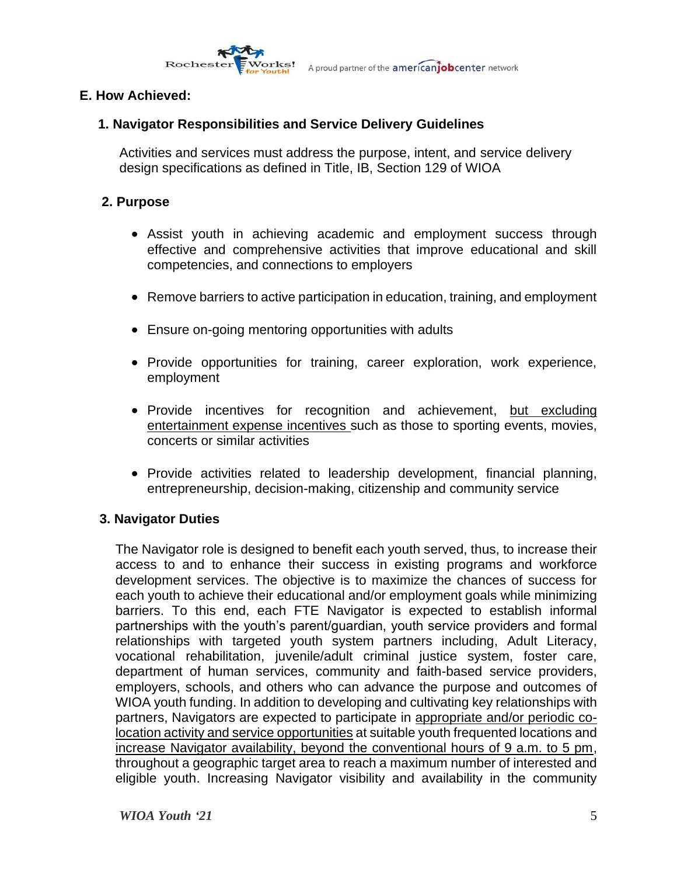

### **E. How Achieved:**

### **1. Navigator Responsibilities and Service Delivery Guidelines**

Activities and services must address the purpose, intent, and service delivery design specifications as defined in Title, IB, Section 129 of WIOA

#### **2. Purpose**

- Assist youth in achieving academic and employment success through effective and comprehensive activities that improve educational and skill competencies, and connections to employers
- Remove barriers to active participation in education, training, and employment
- Ensure on-going mentoring opportunities with adults
- Provide opportunities for training, career exploration, work experience, employment
- Provide incentives for recognition and achievement, but excluding entertainment expense incentives such as those to sporting events, movies, concerts or similar activities
- Provide activities related to leadership development, financial planning, entrepreneurship, decision-making, citizenship and community service

### **3. Navigator Duties**

The Navigator role is designed to benefit each youth served, thus, to increase their access to and to enhance their success in existing programs and workforce development services. The objective is to maximize the chances of success for each youth to achieve their educational and/or employment goals while minimizing barriers. To this end, each FTE Navigator is expected to establish informal partnerships with the youth's parent/guardian, youth service providers and formal relationships with targeted youth system partners including, Adult Literacy, vocational rehabilitation, juvenile/adult criminal justice system, foster care, department of human services, community and faith-based service providers, employers, schools, and others who can advance the purpose and outcomes of WIOA youth funding. In addition to developing and cultivating key relationships with partners, Navigators are expected to participate in appropriate and/or periodic colocation activity and service opportunities at suitable youth frequented locations and increase Navigator availability, beyond the conventional hours of 9 a.m. to 5 pm, throughout a geographic target area to reach a maximum number of interested and eligible youth. Increasing Navigator visibility and availability in the community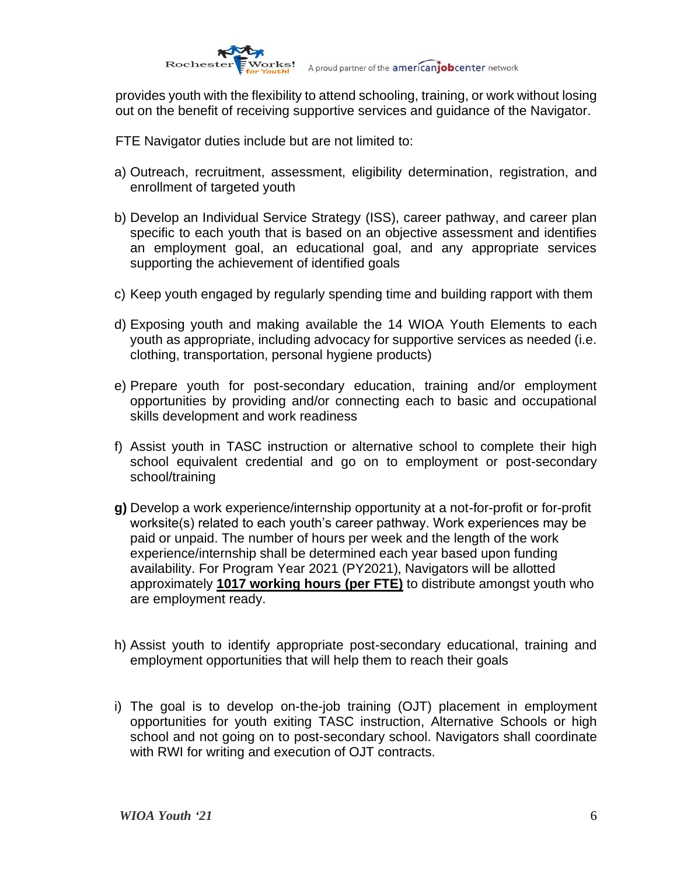

provides youth with the flexibility to attend schooling, training, or work without losing out on the benefit of receiving supportive services and guidance of the Navigator.

FTE Navigator duties include but are not limited to:

- a) Outreach, recruitment, assessment, eligibility determination, registration, and enrollment of targeted youth
- b) Develop an Individual Service Strategy (ISS), career pathway, and career plan specific to each youth that is based on an objective assessment and identifies an employment goal, an educational goal, and any appropriate services supporting the achievement of identified goals
- c) Keep youth engaged by regularly spending time and building rapport with them
- d) Exposing youth and making available the 14 WIOA Youth Elements to each youth as appropriate, including advocacy for supportive services as needed (i.e. clothing, transportation, personal hygiene products)
- e) Prepare youth for post-secondary education, training and/or employment opportunities by providing and/or connecting each to basic and occupational skills development and work readiness
- f) Assist youth in TASC instruction or alternative school to complete their high school equivalent credential and go on to employment or post-secondary school/training
- **g)** Develop a work experience/internship opportunity at a not-for-profit or for-profit worksite(s) related to each youth's career pathway. Work experiences may be paid or unpaid. The number of hours per week and the length of the work experience/internship shall be determined each year based upon funding availability. For Program Year 2021 (PY2021), Navigators will be allotted approximately **1017 working hours (per FTE)** to distribute amongst youth who are employment ready.
- h) Assist youth to identify appropriate post-secondary educational, training and employment opportunities that will help them to reach their goals
- i) The goal is to develop on-the-job training (OJT) placement in employment opportunities for youth exiting TASC instruction, Alternative Schools or high school and not going on to post-secondary school. Navigators shall coordinate with RWI for writing and execution of OJT contracts.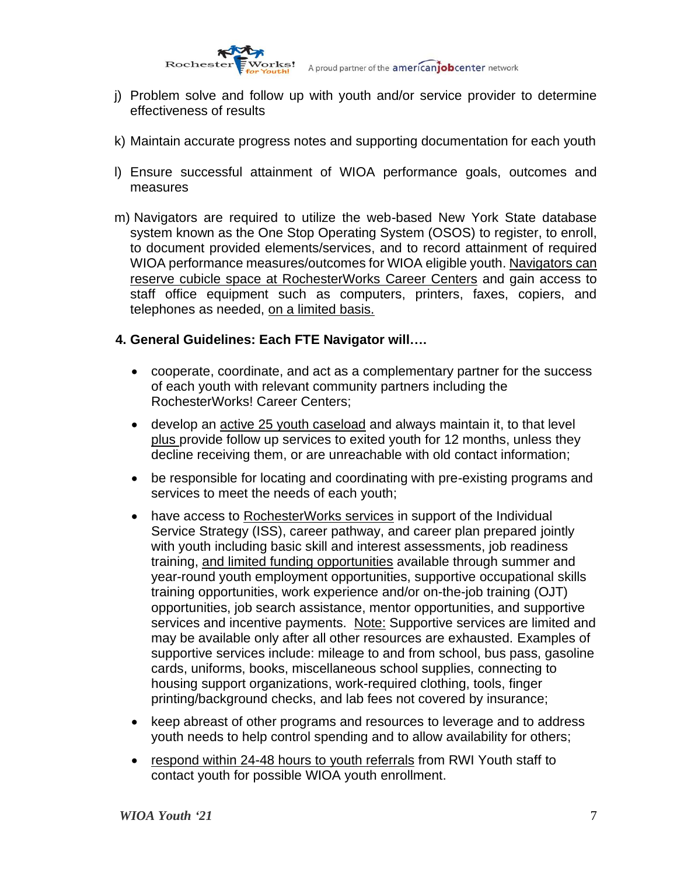

- j) Problem solve and follow up with youth and/or service provider to determine effectiveness of results
- k) Maintain accurate progress notes and supporting documentation for each youth
- l) Ensure successful attainment of WIOA performance goals, outcomes and measures
- m) Navigators are required to utilize the web-based New York State database system known as the One Stop Operating System (OSOS) to register, to enroll, to document provided elements/services, and to record attainment of required WIOA performance measures/outcomes for WIOA eligible youth. Navigators can reserve cubicle space at RochesterWorks Career Centers and gain access to staff office equipment such as computers, printers, faxes, copiers, and telephones as needed, on a limited basis.

#### **4. General Guidelines: Each FTE Navigator will….**

- cooperate, coordinate, and act as a complementary partner for the success of each youth with relevant community partners including the RochesterWorks! Career Centers;
- develop an active 25 youth caseload and always maintain it, to that level plus provide follow up services to exited youth for 12 months, unless they decline receiving them, or are unreachable with old contact information;
- be responsible for locating and coordinating with pre-existing programs and services to meet the needs of each youth;
- have access to RochesterWorks services in support of the Individual Service Strategy (ISS), career pathway, and career plan prepared jointly with youth including basic skill and interest assessments, job readiness training, and limited funding opportunities available through summer and year-round youth employment opportunities, supportive occupational skills training opportunities, work experience and/or on-the-job training (OJT) opportunities, job search assistance, mentor opportunities, and supportive services and incentive payments. Note: Supportive services are limited and may be available only after all other resources are exhausted. Examples of supportive services include: mileage to and from school, bus pass, gasoline cards, uniforms, books, miscellaneous school supplies, connecting to housing support organizations, work-required clothing, tools, finger printing/background checks, and lab fees not covered by insurance;
- keep abreast of other programs and resources to leverage and to address youth needs to help control spending and to allow availability for others;
- respond within 24-48 hours to youth referrals from RWI Youth staff to contact youth for possible WIOA youth enrollment.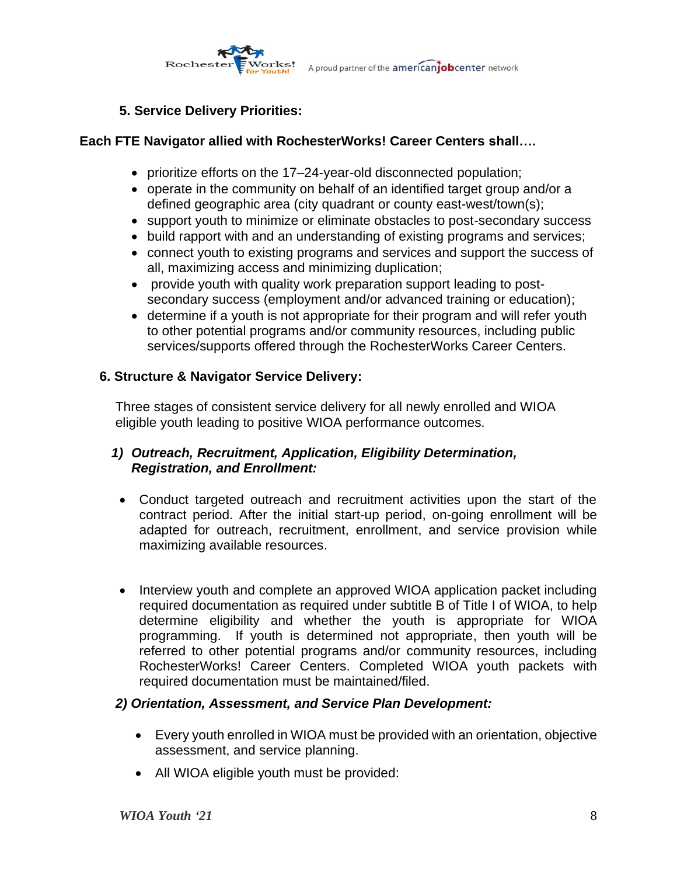

### **5. Service Delivery Priorities:**

### **Each FTE Navigator allied with RochesterWorks! Career Centers shall….**

- prioritize efforts on the 17–24-year-old disconnected population;
- operate in the community on behalf of an identified target group and/or a defined geographic area (city quadrant or county east-west/town(s);
- support youth to minimize or eliminate obstacles to post-secondary success
- build rapport with and an understanding of existing programs and services;
- connect youth to existing programs and services and support the success of all, maximizing access and minimizing duplication;
- provide youth with quality work preparation support leading to postsecondary success (employment and/or advanced training or education);
- determine if a youth is not appropriate for their program and will refer youth to other potential programs and/or community resources, including public services/supports offered through the RochesterWorks Career Centers.

### **6. Structure & Navigator Service Delivery:**

Three stages of consistent service delivery for all newly enrolled and WIOA eligible youth leading to positive WIOA performance outcomes.

### *1) Outreach, Recruitment, Application, Eligibility Determination, Registration, and Enrollment:*

- Conduct targeted outreach and recruitment activities upon the start of the contract period. After the initial start-up period, on-going enrollment will be adapted for outreach, recruitment, enrollment, and service provision while maximizing available resources.
- Interview youth and complete an approved WIOA application packet including required documentation as required under subtitle B of Title I of WIOA, to help determine eligibility and whether the youth is appropriate for WIOA programming. If youth is determined not appropriate, then youth will be referred to other potential programs and/or community resources, including RochesterWorks! Career Centers. Completed WIOA youth packets with required documentation must be maintained/filed.

### *2) Orientation, Assessment, and Service Plan Development:*

- Every youth enrolled in WIOA must be provided with an orientation, objective assessment, and service planning.
- All WIOA eligible youth must be provided: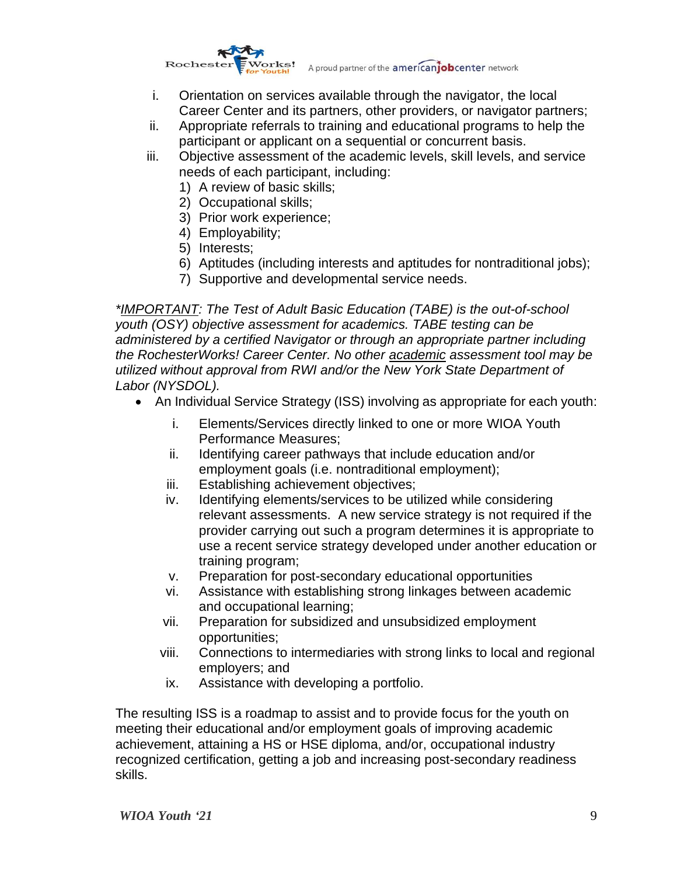

- i. Orientation on services available through the navigator, the local Career Center and its partners, other providers, or navigator partners;
- ii. Appropriate referrals to training and educational programs to help the participant or applicant on a sequential or concurrent basis.
- iii. Objective assessment of the academic levels, skill levels, and service needs of each participant, including:
	- 1) A review of basic skills;
	- 2) Occupational skills;
	- 3) Prior work experience;
	- 4) Employability;
	- 5) Interests;
	- 6) Aptitudes (including interests and aptitudes for nontraditional jobs);
	- 7) Supportive and developmental service needs.

*\*IMPORTANT: The Test of Adult Basic Education (TABE) is the out-of-school youth (OSY) objective assessment for academics. TABE testing can be administered by a certified Navigator or through an appropriate partner including the RochesterWorks! Career Center. No other academic assessment tool may be utilized without approval from RWI and/or the New York State Department of Labor (NYSDOL).*

- An Individual Service Strategy (ISS) involving as appropriate for each youth:
	- i. Elements/Services directly linked to one or more WIOA Youth Performance Measures;
	- ii. Identifying career pathways that include education and/or employment goals (i.e. nontraditional employment);
	- iii. Establishing achievement objectives;
	- iv. Identifying elements/services to be utilized while considering relevant assessments. A new service strategy is not required if the provider carrying out such a program determines it is appropriate to use a recent service strategy developed under another education or training program;
	- v. Preparation for post-secondary educational opportunities
	- vi. Assistance with establishing strong linkages between academic and occupational learning;
	- vii. Preparation for subsidized and unsubsidized employment opportunities;
	- viii. Connections to intermediaries with strong links to local and regional employers; and
	- ix. Assistance with developing a portfolio.

The resulting ISS is a roadmap to assist and to provide focus for the youth on meeting their educational and/or employment goals of improving academic achievement, attaining a HS or HSE diploma, and/or, occupational industry recognized certification, getting a job and increasing post-secondary readiness skills.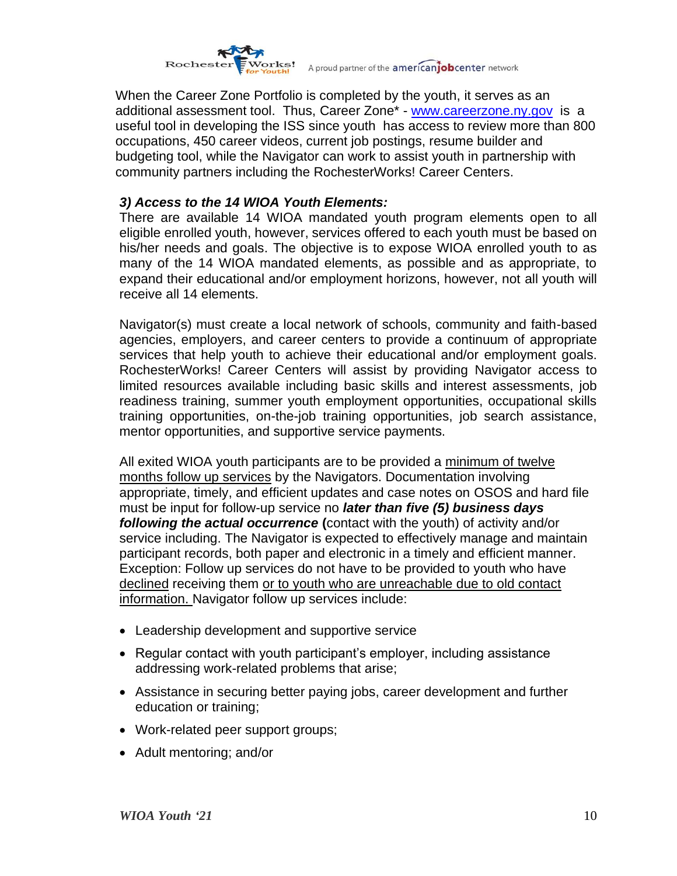

Works! A proud partner of the **american job** center network

When the Career Zone Portfolio is completed by the youth, it serves as an additional assessment tool. Thus, Career Zone\* - [www.careerzone.ny.gov](http://www.careerzone.ny.gov/) is a useful tool in developing the ISS since youth has access to review more than 800 occupations, 450 career videos, current job postings, resume builder and budgeting tool, while the Navigator can work to assist youth in partnership with community partners including the RochesterWorks! Career Centers.

### *3) Access to the 14 WIOA Youth Elements:*

There are available 14 WIOA mandated youth program elements open to all eligible enrolled youth, however, services offered to each youth must be based on his/her needs and goals. The objective is to expose WIOA enrolled youth to as many of the 14 WIOA mandated elements, as possible and as appropriate, to expand their educational and/or employment horizons, however, not all youth will receive all 14 elements.

Navigator(s) must create a local network of schools, community and faith-based agencies, employers, and career centers to provide a continuum of appropriate services that help youth to achieve their educational and/or employment goals. RochesterWorks! Career Centers will assist by providing Navigator access to limited resources available including basic skills and interest assessments, job readiness training, summer youth employment opportunities, occupational skills training opportunities, on-the-job training opportunities, job search assistance, mentor opportunities, and supportive service payments.

All exited WIOA youth participants are to be provided a minimum of twelve months follow up services by the Navigators. Documentation involving appropriate, timely, and efficient updates and case notes on OSOS and hard file must be input for follow-up service no *later than five (5) business days following the actual occurrence* **(**contact with the youth) of activity and/or service including. The Navigator is expected to effectively manage and maintain participant records, both paper and electronic in a timely and efficient manner. Exception: Follow up services do not have to be provided to youth who have declined receiving them or to youth who are unreachable due to old contact information. Navigator follow up services include:

- Leadership development and supportive service
- Regular contact with youth participant's employer, including assistance addressing work-related problems that arise;
- Assistance in securing better paying jobs, career development and further education or training;
- Work-related peer support groups;
- Adult mentoring; and/or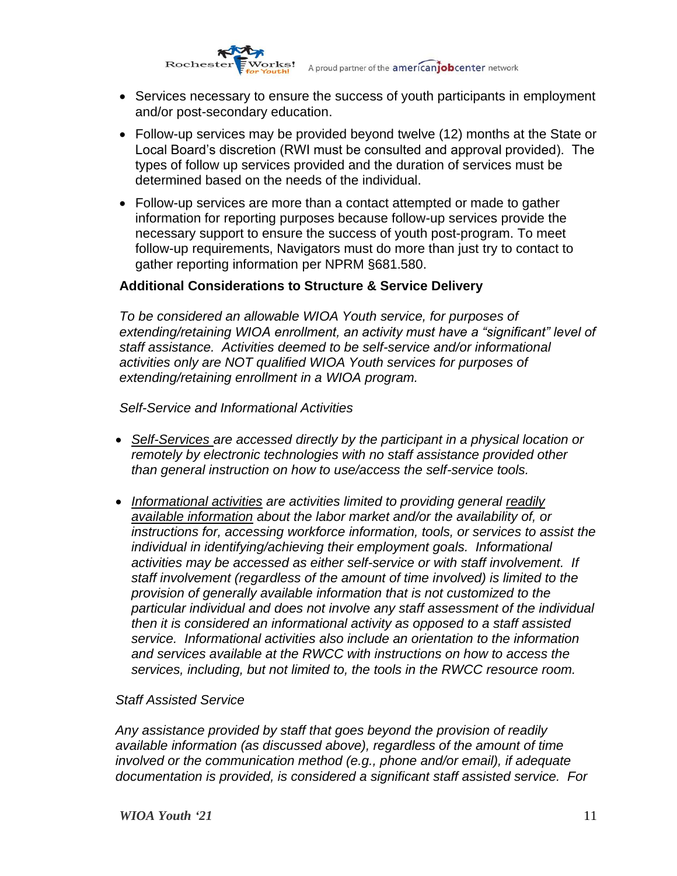

- Services necessary to ensure the success of youth participants in employment and/or post-secondary education.
- Follow-up services may be provided beyond twelve (12) months at the State or Local Board's discretion (RWI must be consulted and approval provided). The types of follow up services provided and the duration of services must be determined based on the needs of the individual.
- Follow-up services are more than a contact attempted or made to gather information for reporting purposes because follow-up services provide the necessary support to ensure the success of youth post-program. To meet follow-up requirements, Navigators must do more than just try to contact to gather reporting information per NPRM §681.580.

#### **Additional Considerations to Structure & Service Delivery**

*To be considered an allowable WIOA Youth service, for purposes of extending/retaining WIOA enrollment, an activity must have a "significant" level of staff assistance. Activities deemed to be self-service and/or informational activities only are NOT qualified WIOA Youth services for purposes of extending/retaining enrollment in a WIOA program.*

*Self-Service and Informational Activities*

- *Self-Services are accessed directly by the participant in a physical location or remotely by electronic technologies with no staff assistance provided other than general instruction on how to use/access the self-service tools.*
- *Informational activities are activities limited to providing general readily available information about the labor market and/or the availability of, or instructions for, accessing workforce information, tools, or services to assist the individual in identifying/achieving their employment goals. Informational activities may be accessed as either self-service or with staff involvement. If staff involvement (regardless of the amount of time involved) is limited to the provision of generally available information that is not customized to the particular individual and does not involve any staff assessment of the individual then it is considered an informational activity as opposed to a staff assisted service. Informational activities also include an orientation to the information and services available at the RWCC with instructions on how to access the services, including, but not limited to, the tools in the RWCC resource room.*

#### *Staff Assisted Service*

*Any assistance provided by staff that goes beyond the provision of readily available information (as discussed above), regardless of the amount of time involved or the communication method (e.g., phone and/or email), if adequate documentation is provided, is considered a significant staff assisted service. For*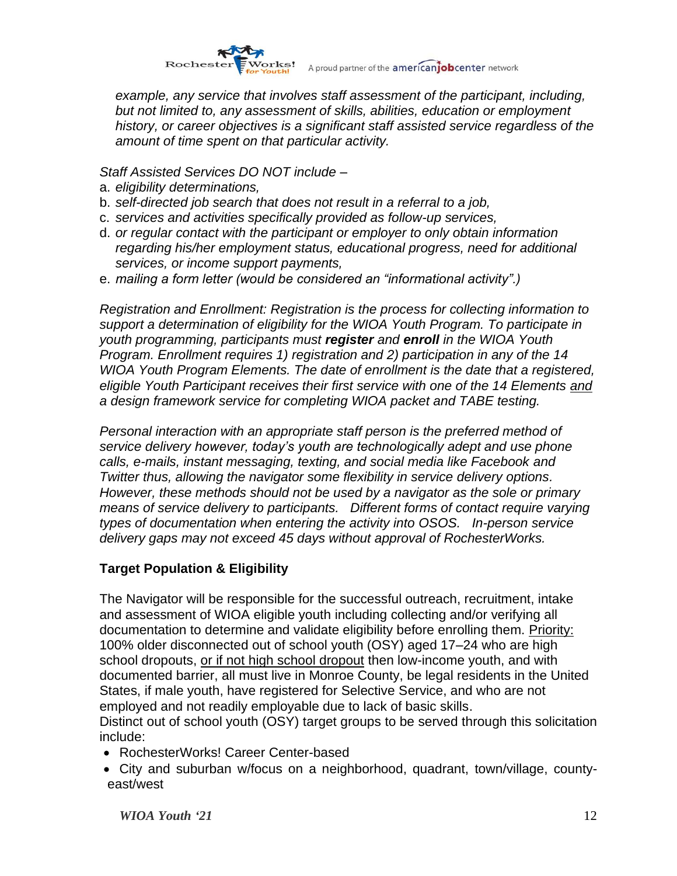

Works! A proud partner of the americanjob center network

*example, any service that involves staff assessment of the participant, including, but not limited to, any assessment of skills, abilities, education or employment history, or career objectives is a significant staff assisted service regardless of the amount of time spent on that particular activity.*

*Staff Assisted Services DO NOT include –*

- a. *eligibility determinations,*
- b. *self-directed job search that does not result in a referral to a job,*
- c. *services and activities specifically provided as follow-up services,*
- d. *or regular contact with the participant or employer to only obtain information regarding his/her employment status, educational progress, need for additional services, or income support payments,*
- e. *mailing a form letter (would be considered an "informational activity".)*

*Registration and Enrollment: Registration is the process for collecting information to support a determination of eligibility for the WIOA Youth Program. To participate in youth programming, participants must register and enroll in the WIOA Youth Program. Enrollment requires 1) registration and 2) participation in any of the 14 WIOA Youth Program Elements. The date of enrollment is the date that a registered, eligible Youth Participant receives their first service with one of the 14 Elements and a design framework service for completing WIOA packet and TABE testing.*

*Personal interaction with an appropriate staff person is the preferred method of service delivery however, today's youth are technologically adept and use phone calls, e-mails, instant messaging, texting, and social media like Facebook and Twitter thus, allowing the navigator some flexibility in service delivery options. However, these methods should not be used by a navigator as the sole or primary means of service delivery to participants. Different forms of contact require varying types of documentation when entering the activity into OSOS. In-person service delivery gaps may not exceed 45 days without approval of RochesterWorks.* 

## **Target Population & Eligibility**

The Navigator will be responsible for the successful outreach, recruitment, intake and assessment of WIOA eligible youth including collecting and/or verifying all documentation to determine and validate eligibility before enrolling them. Priority: 100% older disconnected out of school youth (OSY) aged 17–24 who are high school dropouts, or if not high school dropout then low-income youth, and with documented barrier, all must live in Monroe County, be legal residents in the United States, if male youth, have registered for Selective Service, and who are not employed and not readily employable due to lack of basic skills.

Distinct out of school youth (OSY) target groups to be served through this solicitation include:

- RochesterWorks! Career Center-based
- City and suburban w/focus on a neighborhood, quadrant, town/village, countyeast/west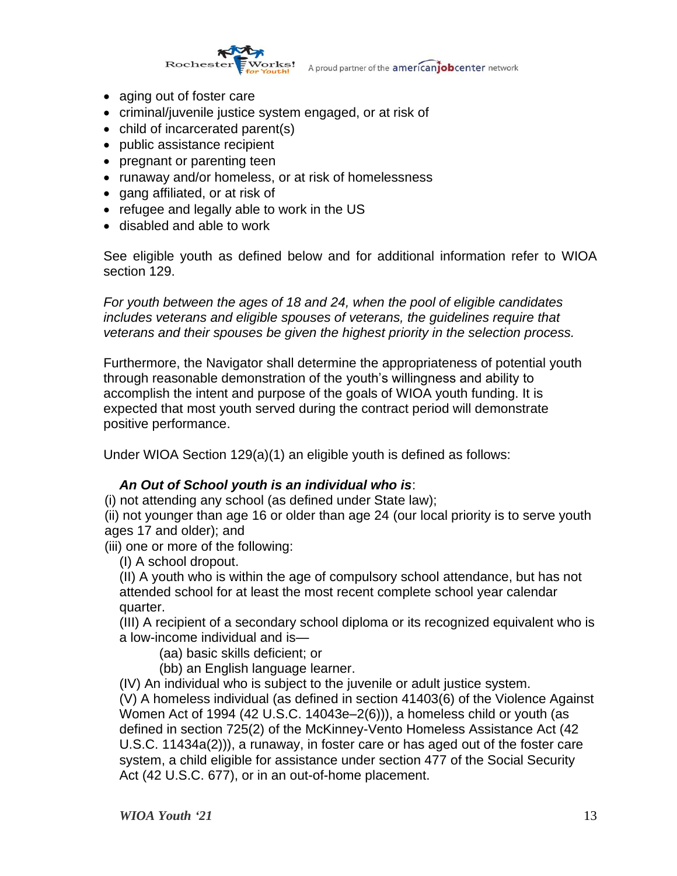

- aging out of foster care
- criminal/juvenile justice system engaged, or at risk of
- child of incarcerated parent(s)
- public assistance recipient
- pregnant or parenting teen
- runaway and/or homeless, or at risk of homelessness
- gang affiliated, or at risk of
- refugee and legally able to work in the US
- disabled and able to work

See eligible youth as defined below and for additional information refer to WIOA section 129.

*For youth between the ages of 18 and 24, when the pool of eligible candidates includes veterans and eligible spouses of veterans, the guidelines require that veterans and their spouses be given the highest priority in the selection process.*

Furthermore, the Navigator shall determine the appropriateness of potential youth through reasonable demonstration of the youth's willingness and ability to accomplish the intent and purpose of the goals of WIOA youth funding. It is expected that most youth served during the contract period will demonstrate positive performance.

Under WIOA Section 129(a)(1) an eligible youth is defined as follows:

### *An Out of School youth is an individual who is*:

(i) not attending any school (as defined under State law);

(ii) not younger than age 16 or older than age 24 (our local priority is to serve youth ages 17 and older); and

(iii) one or more of the following:

(I) A school dropout.

(II) A youth who is within the age of compulsory school attendance, but has not attended school for at least the most recent complete school year calendar quarter.

(III) A recipient of a secondary school diploma or its recognized equivalent who is a low-income individual and is—

(aa) basic skills deficient; or

(bb) an English language learner.

(IV) An individual who is subject to the juvenile or adult justice system. (V) A homeless individual (as defined in section 41403(6) of the Violence Against Women Act of 1994 (42 U.S.C. 14043e–2(6))), a homeless child or youth (as defined in section 725(2) of the McKinney-Vento Homeless Assistance Act (42 U.S.C. 11434a(2))), a runaway, in foster care or has aged out of the foster care system, a child eligible for assistance under section 477 of the Social Security Act (42 U.S.C. 677), or in an out-of-home placement.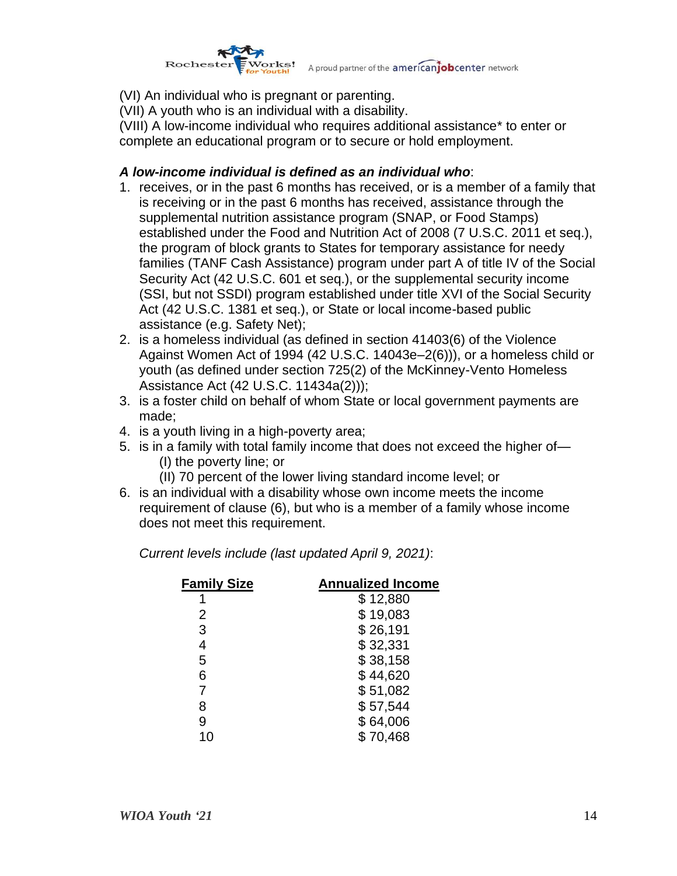

(VI) An individual who is pregnant or parenting.

(VII) A youth who is an individual with a disability.

(VIII) A low-income individual who requires additional assistance\* to enter or complete an educational program or to secure or hold employment.

### *A low-income individual is defined as an individual who*:

- 1. receives, or in the past 6 months has received, or is a member of a family that is receiving or in the past 6 months has received, assistance through the supplemental nutrition assistance program (SNAP, or Food Stamps) established under the Food and Nutrition Act of 2008 (7 U.S.C. 2011 et seq.), the program of block grants to States for temporary assistance for needy families (TANF Cash Assistance) program under part A of title IV of the Social Security Act (42 U.S.C. 601 et seq.), or the supplemental security income (SSI, but not SSDI) program established under title XVI of the Social Security Act (42 U.S.C. 1381 et seq.), or State or local income-based public assistance (e.g. Safety Net);
- 2. is a homeless individual (as defined in section 41403(6) of the Violence Against Women Act of 1994 (42 U.S.C. 14043e–2(6))), or a homeless child or youth (as defined under section 725(2) of the McKinney-Vento Homeless Assistance Act (42 U.S.C. 11434a(2)));
- 3. is a foster child on behalf of whom State or local government payments are made;
- 4. is a youth living in a high-poverty area;
- 5. is in a family with total family income that does not exceed the higher of— (I) the poverty line; or
	- (II) 70 percent of the lower living standard income level; or
- 6. is an individual with a disability whose own income meets the income requirement of clause (6), but who is a member of a family whose income does not meet this requirement.

*Current levels include (last updated April 9, 2021)*:

| <b>Annualized Income</b> |
|--------------------------|
| \$12,880                 |
| \$19,083                 |
| \$26,191                 |
| \$32,331                 |
| \$38,158                 |
| \$44,620                 |
| \$51,082                 |
| \$57,544                 |
| \$64,006                 |
| \$70,468                 |
|                          |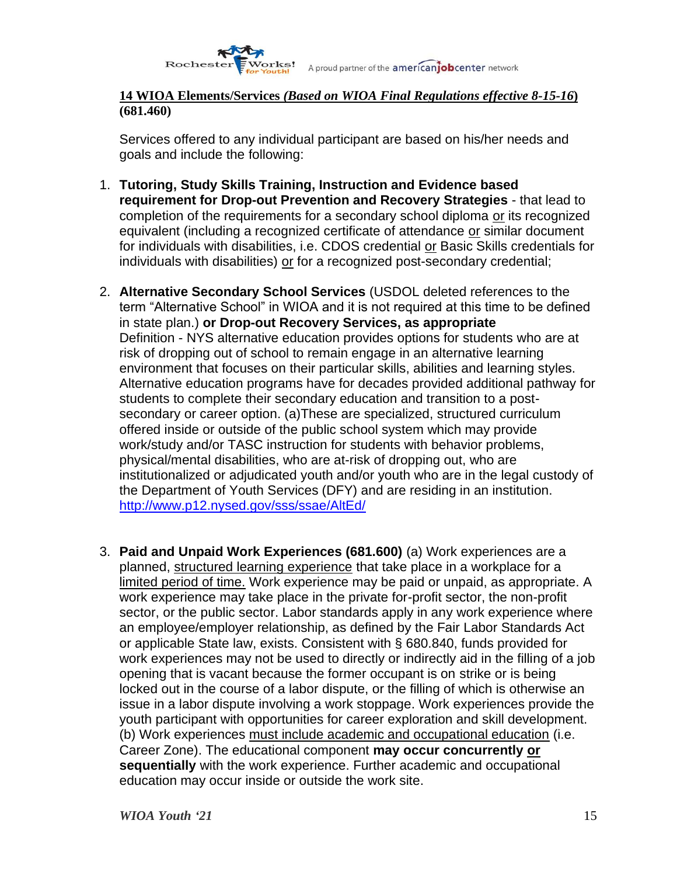

#### **14 WIOA Elements/Services** *(Based on WIOA Final Regulations effective 8-15-16***) (681.460)**

Services offered to any individual participant are based on his/her needs and goals and include the following:

- 1. **Tutoring, Study Skills Training, Instruction and Evidence based requirement for Drop-out Prevention and Recovery Strategies** - that lead to completion of the requirements for a secondary school diploma or its recognized equivalent (including a recognized certificate of attendance or similar document for individuals with disabilities, i.e. CDOS credential or Basic Skills credentials for individuals with disabilities) or for a recognized post-secondary credential;
- 2. **Alternative Secondary School Services** (USDOL deleted references to the term "Alternative School" in WIOA and it is not required at this time to be defined in state plan.) **or Drop-out Recovery Services, as appropriate** Definition - NYS alternative education provides options for students who are at risk of dropping out of school to remain engage in an alternative learning environment that focuses on their particular skills, abilities and learning styles. Alternative education programs have for decades provided additional pathway for students to complete their secondary education and transition to a postsecondary or career option. (a)These are specialized, structured curriculum offered inside or outside of the public school system which may provide work/study and/or TASC instruction for students with behavior problems, physical/mental disabilities, who are at-risk of dropping out, who are institutionalized or adjudicated youth and/or youth who are in the legal custody of the Department of Youth Services (DFY) and are residing in an institution. <http://www.p12.nysed.gov/sss/ssae/AltEd/>
- 3. **Paid and Unpaid Work Experiences (681.600)** (a) Work experiences are a planned, structured learning experience that take place in a workplace for a limited period of time. Work experience may be paid or unpaid, as appropriate. A work experience may take place in the private for-profit sector, the non-profit sector, or the public sector. Labor standards apply in any work experience where an employee/employer relationship, as defined by the Fair Labor Standards Act or applicable State law, exists. Consistent with § 680.840, funds provided for work experiences may not be used to directly or indirectly aid in the filling of a job opening that is vacant because the former occupant is on strike or is being locked out in the course of a labor dispute, or the filling of which is otherwise an issue in a labor dispute involving a work stoppage. Work experiences provide the youth participant with opportunities for career exploration and skill development. (b) Work experiences must include academic and occupational education (i.e. Career Zone). The educational component **may occur concurrently or sequentially** with the work experience. Further academic and occupational education may occur inside or outside the work site.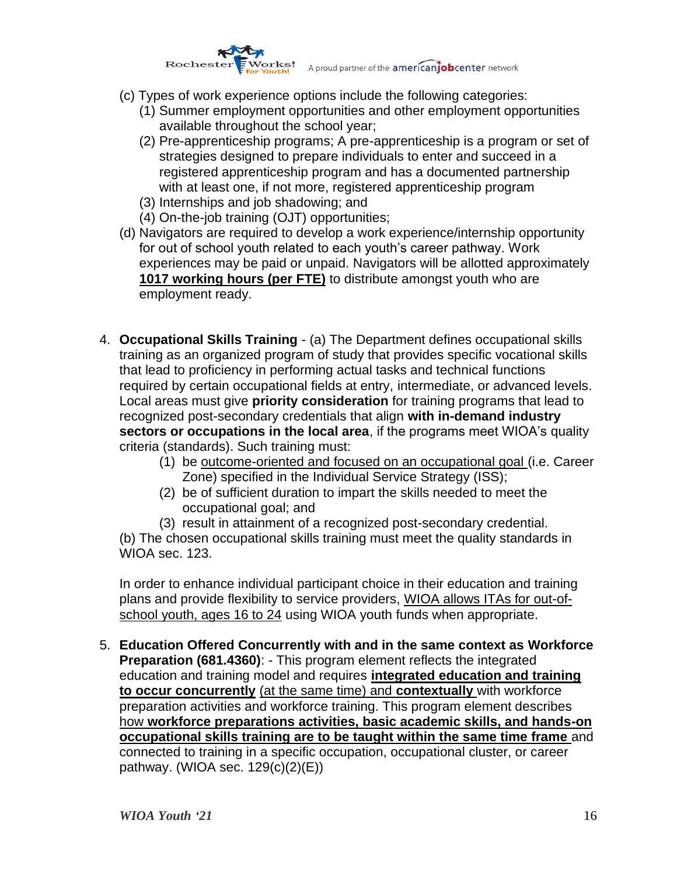

- (c) Types of work experience options include the following categories:
	- (1) Summer employment opportunities and other employment opportunities available throughout the school year;
	- (2) Pre-apprenticeship programs; A pre-apprenticeship is a program or set of strategies designed to prepare individuals to enter and succeed in a registered apprenticeship program and has a documented partnership with at least one, if not more, registered apprenticeship program
	- (3) Internships and job shadowing; and
	- (4) On-the-job training (OJT) opportunities;
- (d) Navigators are required to develop a work experience/internship opportunity for out of school youth related to each youth's career pathway. Work experiences may be paid or unpaid. Navigators will be allotted approximately **1017 working hours (per FTE)** to distribute amongst youth who are employment ready.
- 4. **Occupational Skills Training** (a) The Department defines occupational skills training as an organized program of study that provides specific vocational skills that lead to proficiency in performing actual tasks and technical functions required by certain occupational fields at entry, intermediate, or advanced levels. Local areas must give **priority consideration** for training programs that lead to recognized post-secondary credentials that align **with in-demand industry sectors or occupations in the local area**, if the programs meet WIOA's quality criteria (standards). Such training must:
	- (1) be outcome-oriented and focused on an occupational goal (i.e. Career Zone) specified in the Individual Service Strategy (ISS);
	- (2) be of sufficient duration to impart the skills needed to meet the occupational goal; and

(3) result in attainment of a recognized post-secondary credential. (b) The chosen occupational skills training must meet the quality standards in WIOA sec. 123.

In order to enhance individual participant choice in their education and training plans and provide flexibility to service providers, WIOA allows ITAs for out-ofschool youth, ages 16 to 24 using WIOA youth funds when appropriate.

5. **Education Offered Concurrently with and in the same context as Workforce Preparation (681.4360)**: - This program element reflects the integrated education and training model and requires **integrated education and training to occur concurrently** (at the same time) and **contextually** with workforce preparation activities and workforce training. This program element describes how **workforce preparations activities, basic academic skills, and hands-on occupational skills training are to be taught within the same time frame** and connected to training in a specific occupation, occupational cluster, or career pathway. (WIOA sec. 129(c)(2)(E))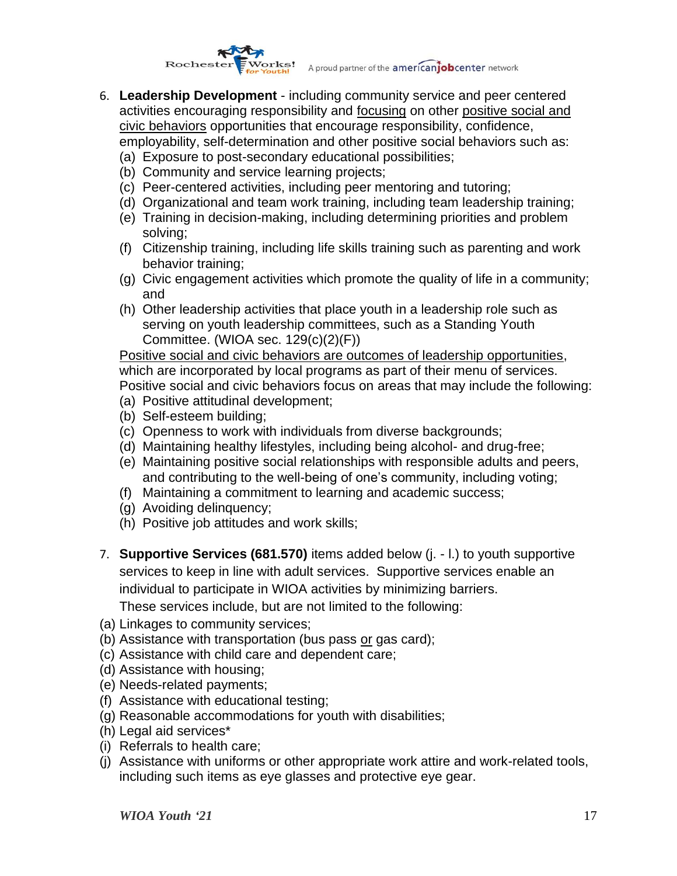

- 6. **Leadership Development**  including community service and peer centered activities encouraging responsibility and focusing on other positive social and civic behaviors opportunities that encourage responsibility, confidence, employability, self-determination and other positive social behaviors such as:
	- (a) Exposure to post-secondary educational possibilities;
	- (b) Community and service learning projects;
	- (c) Peer-centered activities, including peer mentoring and tutoring;
	- (d) Organizational and team work training, including team leadership training;
	- (e) Training in decision-making, including determining priorities and problem solving;
	- (f) Citizenship training, including life skills training such as parenting and work behavior training;
	- (g) Civic engagement activities which promote the quality of life in a community; and
	- (h) Other leadership activities that place youth in a leadership role such as serving on youth leadership committees, such as a Standing Youth Committee. (WIOA sec. 129(c)(2)(F))

Positive social and civic behaviors are outcomes of leadership opportunities, which are incorporated by local programs as part of their menu of services. Positive social and civic behaviors focus on areas that may include the following:

- (a) Positive attitudinal development;
- (b) Self-esteem building;
- (c) Openness to work with individuals from diverse backgrounds;
- (d) Maintaining healthy lifestyles, including being alcohol- and drug-free;
- (e) Maintaining positive social relationships with responsible adults and peers, and contributing to the well-being of one's community, including voting;
- (f) Maintaining a commitment to learning and academic success;
- (g) Avoiding delinquency;
- (h) Positive job attitudes and work skills;
- 7. **Supportive Services (681.570)** items added below (j. l.) to youth supportive services to keep in line with adult services. Supportive services enable an individual to participate in WIOA activities by minimizing barriers.

These services include, but are not limited to the following:

- (a) Linkages to community services;
- (b) Assistance with transportation (bus pass or gas card);
- (c) Assistance with child care and dependent care;
- (d) Assistance with housing;
- (e) Needs-related payments;
- (f) Assistance with educational testing;
- (g) Reasonable accommodations for youth with disabilities;
- (h) Legal aid services\*
- (i) Referrals to health care;
- (j) Assistance with uniforms or other appropriate work attire and work-related tools, including such items as eye glasses and protective eye gear.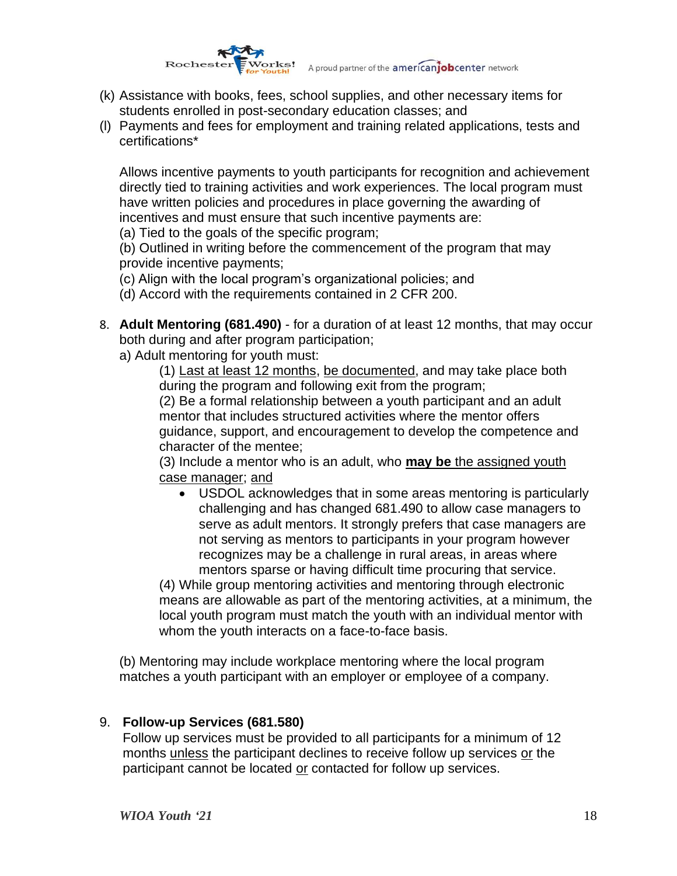

- (k) Assistance with books, fees, school supplies, and other necessary items for students enrolled in post-secondary education classes; and
- (l) Payments and fees for employment and training related applications, tests and certifications\*

Allows incentive payments to youth participants for recognition and achievement directly tied to training activities and work experiences. The local program must have written policies and procedures in place governing the awarding of incentives and must ensure that such incentive payments are:

(a) Tied to the goals of the specific program;

(b) Outlined in writing before the commencement of the program that may provide incentive payments;

(c) Align with the local program's organizational policies; and

(d) Accord with the requirements contained in 2 CFR 200.

8. **Adult Mentoring (681.490)** - for a duration of at least 12 months, that may occur both during and after program participation;

a) Adult mentoring for youth must:

(1) Last at least 12 months, be documented, and may take place both during the program and following exit from the program;

(2) Be a formal relationship between a youth participant and an adult mentor that includes structured activities where the mentor offers guidance, support, and encouragement to develop the competence and character of the mentee;

(3) Include a mentor who is an adult, who **may be** the assigned youth case manager; and

• USDOL acknowledges that in some areas mentoring is particularly challenging and has changed 681.490 to allow case managers to serve as adult mentors. It strongly prefers that case managers are not serving as mentors to participants in your program however recognizes may be a challenge in rural areas, in areas where mentors sparse or having difficult time procuring that service.

(4) While group mentoring activities and mentoring through electronic means are allowable as part of the mentoring activities, at a minimum, the local youth program must match the youth with an individual mentor with whom the youth interacts on a face-to-face basis.

(b) Mentoring may include workplace mentoring where the local program matches a youth participant with an employer or employee of a company.

### 9. **Follow-up Services (681.580)**

Follow up services must be provided to all participants for a minimum of 12 months unless the participant declines to receive follow up services or the participant cannot be located or contacted for follow up services.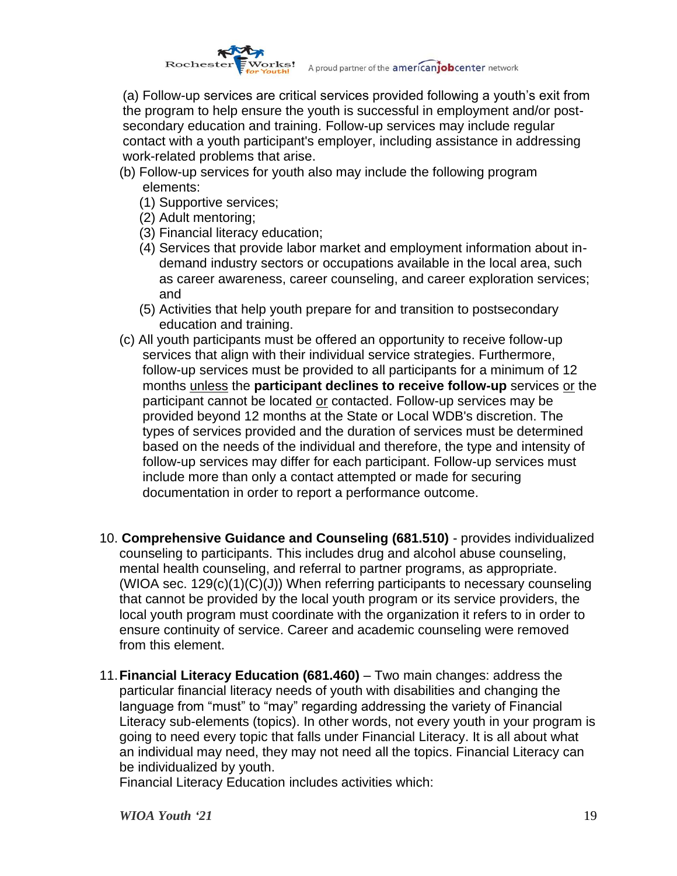

A proud partner of the americaniobcenter network

(a) Follow-up services are critical services provided following a youth's exit from the program to help ensure the youth is successful in employment and/or postsecondary education and training. Follow-up services may include regular contact with a youth participant's employer, including assistance in addressing work-related problems that arise.

- (b) Follow-up services for youth also may include the following program elements:
	- (1) Supportive services;
	- (2) Adult mentoring;
	- (3) Financial literacy education;
	- (4) Services that provide labor market and employment information about indemand industry sectors or occupations available in the local area, such as career awareness, career counseling, and career exploration services; and
	- (5) Activities that help youth prepare for and transition to postsecondary education and training.
- (c) All youth participants must be offered an opportunity to receive follow-up services that align with their individual service strategies. Furthermore, follow-up services must be provided to all participants for a minimum of 12 months unless the **participant declines to receive follow-up** services or the participant cannot be located or contacted. Follow-up services may be provided beyond 12 months at the State or Local WDB's discretion. The types of services provided and the duration of services must be determined based on the needs of the individual and therefore, the type and intensity of follow-up services may differ for each participant. Follow-up services must include more than only a contact attempted or made for securing documentation in order to report a performance outcome.
- 10. **Comprehensive Guidance and Counseling (681.510)** provides individualized counseling to participants. This includes drug and alcohol abuse counseling, mental health counseling, and referral to partner programs, as appropriate. (WIOA sec.  $129(c)(1)(C)(J)$ ) When referring participants to necessary counseling that cannot be provided by the local youth program or its service providers, the local youth program must coordinate with the organization it refers to in order to ensure continuity of service. Career and academic counseling were removed from this element.
- 11.**Financial Literacy Education (681.460)** Two main changes: address the particular financial literacy needs of youth with disabilities and changing the language from "must" to "may" regarding addressing the variety of Financial Literacy sub-elements (topics). In other words, not every youth in your program is going to need every topic that falls under Financial Literacy. It is all about what an individual may need, they may not need all the topics. Financial Literacy can be individualized by youth.

Financial Literacy Education includes activities which: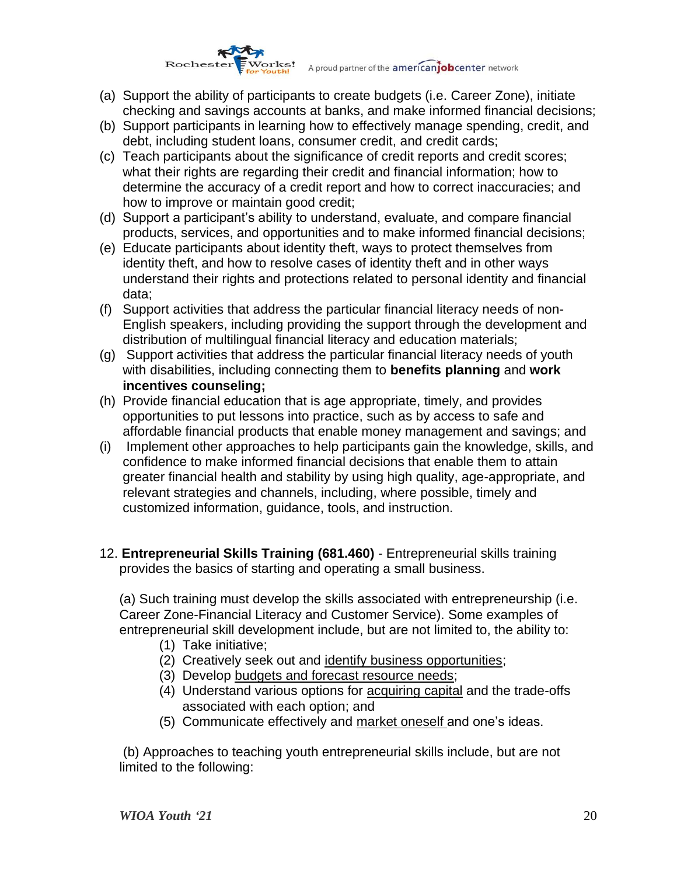# Works! A proud partner of the americanjobcenter network Rochester

- (a) Support the ability of participants to create budgets (i.e. Career Zone), initiate checking and savings accounts at banks, and make informed financial decisions;
- (b) Support participants in learning how to effectively manage spending, credit, and debt, including student loans, consumer credit, and credit cards;
- (c) Teach participants about the significance of credit reports and credit scores; what their rights are regarding their credit and financial information; how to determine the accuracy of a credit report and how to correct inaccuracies; and how to improve or maintain good credit;
- (d) Support a participant's ability to understand, evaluate, and compare financial products, services, and opportunities and to make informed financial decisions;
- (e) Educate participants about identity theft, ways to protect themselves from identity theft, and how to resolve cases of identity theft and in other ways understand their rights and protections related to personal identity and financial data;
- (f) Support activities that address the particular financial literacy needs of non-English speakers, including providing the support through the development and distribution of multilingual financial literacy and education materials;
- (g) Support activities that address the particular financial literacy needs of youth with disabilities, including connecting them to **benefits planning** and **work incentives counseling;**
- (h) Provide financial education that is age appropriate, timely, and provides opportunities to put lessons into practice, such as by access to safe and affordable financial products that enable money management and savings; and
- (i) Implement other approaches to help participants gain the knowledge, skills, and confidence to make informed financial decisions that enable them to attain greater financial health and stability by using high quality, age-appropriate, and relevant strategies and channels, including, where possible, timely and customized information, guidance, tools, and instruction.
- 12. **Entrepreneurial Skills Training (681.460)** Entrepreneurial skills training provides the basics of starting and operating a small business.

(a) Such training must develop the skills associated with entrepreneurship (i.e. Career Zone-Financial Literacy and Customer Service). Some examples of entrepreneurial skill development include, but are not limited to, the ability to:

- (1) Take initiative;
- (2) Creatively seek out and identify business opportunities;
- (3) Develop budgets and forecast resource needs;
- (4) Understand various options for acquiring capital and the trade-offs associated with each option; and
- (5) Communicate effectively and market oneself and one's ideas.

(b) Approaches to teaching youth entrepreneurial skills include, but are not limited to the following: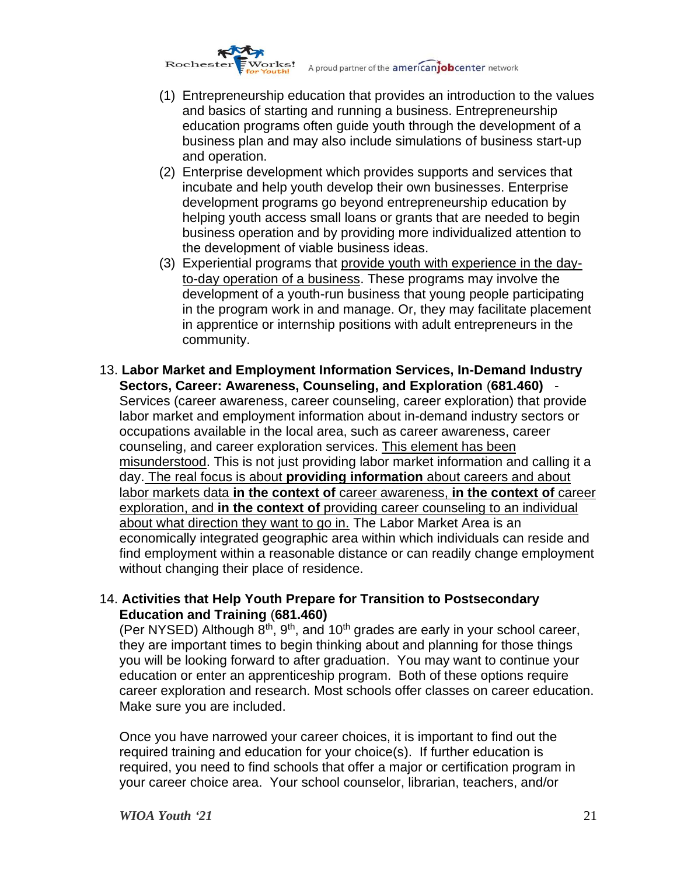Works! Rochester

A proud partner of the **americantobcenter** network

- (1) Entrepreneurship education that provides an introduction to the values and basics of starting and running a business. Entrepreneurship education programs often guide youth through the development of a business plan and may also include simulations of business start-up and operation.
- (2) Enterprise development which provides supports and services that incubate and help youth develop their own businesses. Enterprise development programs go beyond entrepreneurship education by helping youth access small loans or grants that are needed to begin business operation and by providing more individualized attention to the development of viable business ideas.
- (3) Experiential programs that provide youth with experience in the dayto-day operation of a business. These programs may involve the development of a youth-run business that young people participating in the program work in and manage. Or, they may facilitate placement in apprentice or internship positions with adult entrepreneurs in the community.
- 13. **Labor Market and Employment Information Services, In-Demand Industry Sectors, Career: Awareness, Counseling, and Exploration** (**681.460)** - Services (career awareness, career counseling, career exploration) that provide labor market and employment information about in-demand industry sectors or occupations available in the local area, such as career awareness, career counseling, and career exploration services. This element has been misunderstood. This is not just providing labor market information and calling it a day. The real focus is about **providing information** about careers and about labor markets data **in the context of** career awareness, **in the context of** career exploration, and **in the context of** providing career counseling to an individual about what direction they want to go in. The Labor Market Area is an economically integrated geographic area within which individuals can reside and find employment within a reasonable distance or can readily change employment without changing their place of residence.
- 14. **Activities that Help Youth Prepare for Transition to Postsecondary Education and Training** (**681.460)**

(Per NYSED) Although  $8<sup>th</sup>$ ,  $9<sup>th</sup>$ , and  $10<sup>th</sup>$  grades are early in your school career, they are important times to begin thinking about and planning for those things you will be looking forward to after graduation. You may want to continue your education or enter an apprenticeship program. Both of these options require career exploration and research. Most schools offer classes on career education. Make sure you are included.

Once you have narrowed your career choices, it is important to find out the required training and education for your choice(s). If further education is required, you need to find schools that offer a major or certification program in your career choice area. Your school counselor, librarian, teachers, and/or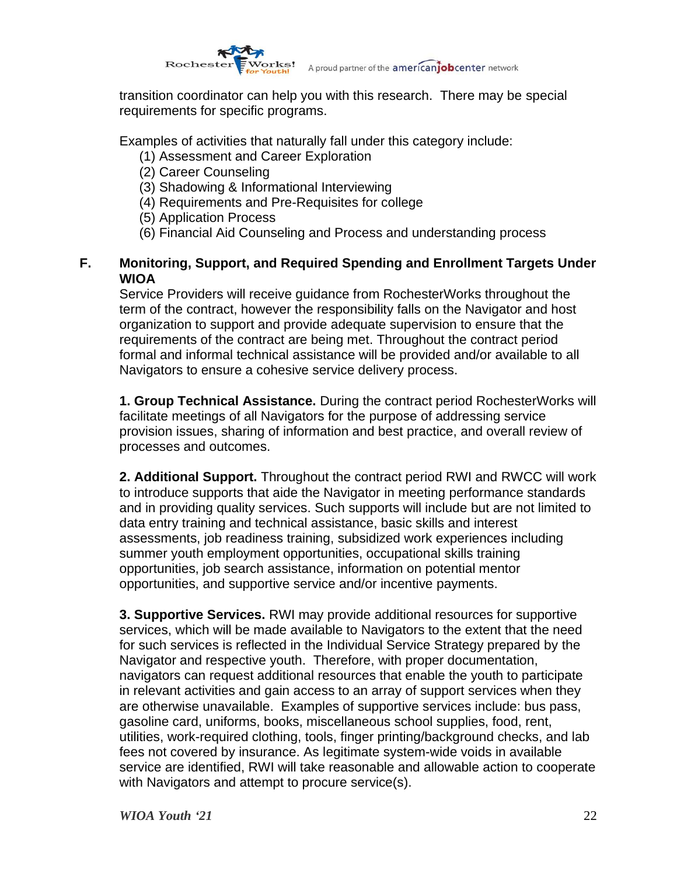

transition coordinator can help you with this research. There may be special requirements for specific programs.

Examples of activities that naturally fall under this category include:

- (1) Assessment and Career Exploration
- (2) Career Counseling
- (3) Shadowing & Informational Interviewing
- (4) Requirements and Pre-Requisites for college
- (5) Application Process
- (6) Financial Aid Counseling and Process and understanding process

### **F. Monitoring, Support, and Required Spending and Enrollment Targets Under WIOA**

Service Providers will receive guidance from RochesterWorks throughout the term of the contract, however the responsibility falls on the Navigator and host organization to support and provide adequate supervision to ensure that the requirements of the contract are being met. Throughout the contract period formal and informal technical assistance will be provided and/or available to all Navigators to ensure a cohesive service delivery process.

**1. Group Technical Assistance.** During the contract period RochesterWorks will facilitate meetings of all Navigators for the purpose of addressing service provision issues, sharing of information and best practice, and overall review of processes and outcomes.

**2. Additional Support.** Throughout the contract period RWI and RWCC will work to introduce supports that aide the Navigator in meeting performance standards and in providing quality services. Such supports will include but are not limited to data entry training and technical assistance, basic skills and interest assessments, job readiness training, subsidized work experiences including summer youth employment opportunities, occupational skills training opportunities, job search assistance, information on potential mentor opportunities, and supportive service and/or incentive payments.

**3. Supportive Services.** RWI may provide additional resources for supportive services, which will be made available to Navigators to the extent that the need for such services is reflected in the Individual Service Strategy prepared by the Navigator and respective youth. Therefore, with proper documentation, navigators can request additional resources that enable the youth to participate in relevant activities and gain access to an array of support services when they are otherwise unavailable. Examples of supportive services include: bus pass, gasoline card, uniforms, books, miscellaneous school supplies, food, rent, utilities, work-required clothing, tools, finger printing/background checks, and lab fees not covered by insurance. As legitimate system-wide voids in available service are identified, RWI will take reasonable and allowable action to cooperate with Navigators and attempt to procure service(s).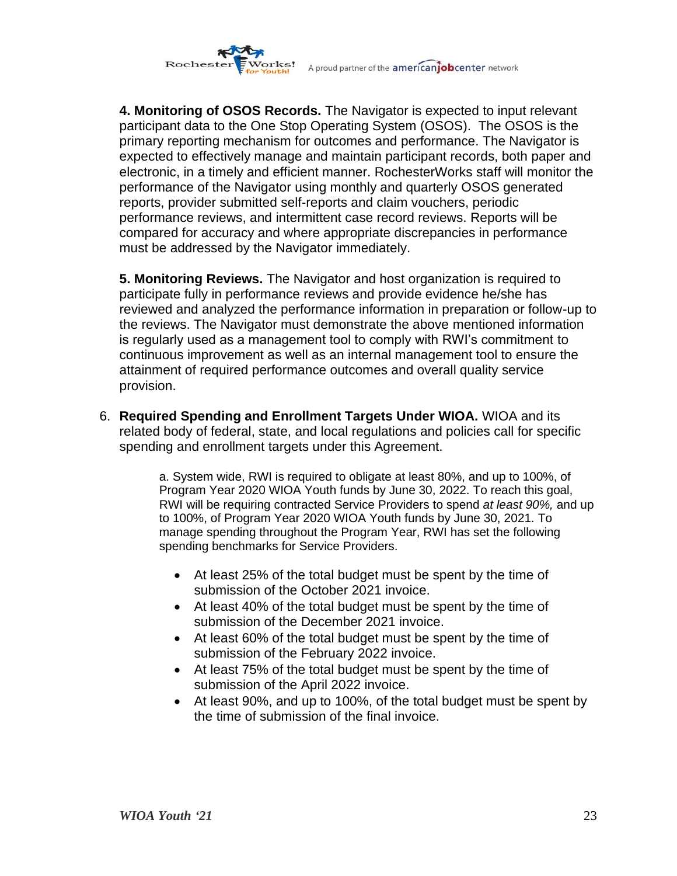

**4. Monitoring of OSOS Records.** The Navigator is expected to input relevant participant data to the One Stop Operating System (OSOS). The OSOS is the primary reporting mechanism for outcomes and performance. The Navigator is expected to effectively manage and maintain participant records, both paper and electronic, in a timely and efficient manner. RochesterWorks staff will monitor the performance of the Navigator using monthly and quarterly OSOS generated reports, provider submitted self-reports and claim vouchers, periodic performance reviews, and intermittent case record reviews. Reports will be compared for accuracy and where appropriate discrepancies in performance must be addressed by the Navigator immediately.

**5. Monitoring Reviews.** The Navigator and host organization is required to participate fully in performance reviews and provide evidence he/she has reviewed and analyzed the performance information in preparation or follow-up to the reviews. The Navigator must demonstrate the above mentioned information is regularly used as a management tool to comply with RWI's commitment to continuous improvement as well as an internal management tool to ensure the attainment of required performance outcomes and overall quality service provision.

6. **Required Spending and Enrollment Targets Under WIOA.** WIOA and its related body of federal, state, and local regulations and policies call for specific spending and enrollment targets under this Agreement.

> a. System wide, RWI is required to obligate at least 80%, and up to 100%, of Program Year 2020 WIOA Youth funds by June 30, 2022. To reach this goal, RWI will be requiring contracted Service Providers to spend *at least 90%,* and up to 100%, of Program Year 2020 WIOA Youth funds by June 30, 2021. To manage spending throughout the Program Year, RWI has set the following spending benchmarks for Service Providers.

- At least 25% of the total budget must be spent by the time of submission of the October 2021 invoice.
- At least 40% of the total budget must be spent by the time of submission of the December 2021 invoice.
- At least 60% of the total budget must be spent by the time of submission of the February 2022 invoice.
- At least 75% of the total budget must be spent by the time of submission of the April 2022 invoice.
- At least 90%, and up to 100%, of the total budget must be spent by the time of submission of the final invoice.